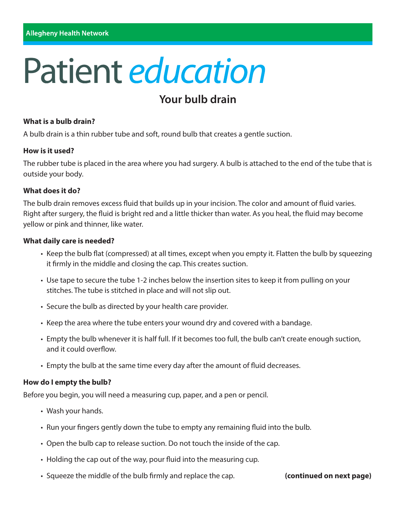# **Patient education**

## **Your bulb drain**

#### **What is a bulb drain?**

A bulb drain is a thin rubber tube and soft, round bulb that creates a gentle suction.

#### **How is it used?**

The rubber tube is placed in the area where you had surgery. A bulb is attached to the end of the tube that is outside your body.

#### **What does it do?**

The bulb drain removes excess fluid that builds up in your incision. The color and amount of fluid varies. Right after surgery, the fluid is bright red and a little thicker than water. As you heal, the fluid may become yellow or pink and thinner, like water.

#### **What daily care is needed?**

- Keep the bulb flat (compressed) at all times, except when you empty it. Flatten the bulb by squeezing it firmly in the middle and closing the cap. This creates suction.
- Use tape to secure the tube 1-2 inches below the insertion sites to keep it from pulling on your stitches. The tube is stitched in place and will not slip out.
- Secure the bulb as directed by your health care provider.
- Keep the area where the tube enters your wound dry and covered with a bandage.
- Empty the bulb whenever it is half full. If it becomes too full, the bulb can't create enough suction, and it could overflow.
- Empty the bulb at the same time every day after the amount of fluid decreases.

#### **How do I empty the bulb?**

Before you begin, you will need a measuring cup, paper, and a pen or pencil.

- Wash your hands.
- Run your fingers gently down the tube to empty any remaining fluid into the bulb.
- Open the bulb cap to release suction. Do not touch the inside of the cap.
- Holding the cap out of the way, pour fluid into the measuring cup.
- Squeeze the middle of the bulb firmly and replace the cap. **(continued on next page)**